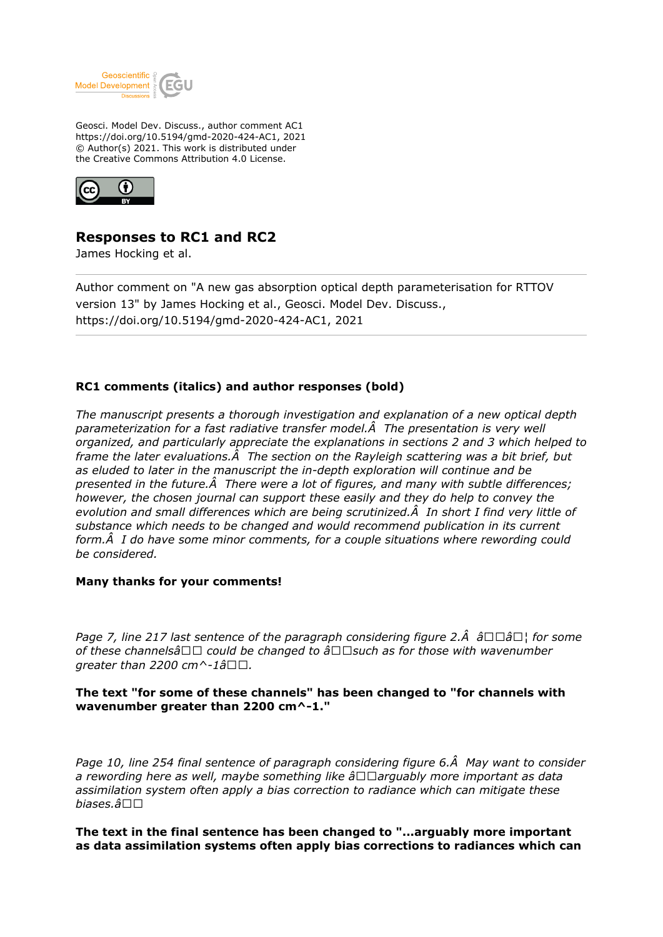

Geosci. Model Dev. Discuss., author comment AC1 https://doi.org/10.5194/gmd-2020-424-AC1, 2021 © Author(s) 2021. This work is distributed under the Creative Commons Attribution 4.0 License.



# **Responses to RC1 and RC2**

James Hocking et al.

Author comment on "A new gas absorption optical depth parameterisation for RTTOV version 13" by James Hocking et al., Geosci. Model Dev. Discuss., https://doi.org/10.5194/gmd-2020-424-AC1, 2021

# **RC1 comments (italics) and author responses (bold)**

*The manuscript presents a thorough investigation and explanation of a new optical depth parameterization for a fast radiative transfer model. The presentation is very well organized, and particularly appreciate the explanations in sections 2 and 3 which helped to frame the later evaluations. The section on the Rayleigh scattering was a bit brief, but as eluded to later in the manuscript the in-depth exploration will continue and be presented in the future. There were a lot of figures, and many with subtle differences; however, the chosen journal can support these easily and they do help to convey the evolution and small differences which are being scrutinized. In short I find very little of substance which needs to be changed and would recommend publication in its current form. I do have some minor comments, for a couple situations where rewording could be considered.*

# **Many thanks for your comments!**

*Page 7, line 217 last sentence of the paragraph considering figure 2.* Â a  $\Box\Box\hat{a}\Box$  *for some of these channelsâ*□□ could be changed to â□□such as for those with wavenumber *greater than 2200 cm* $\land$ -1â $\Box$  $\Box$ .

# **The text "for some of these channels" has been changed to "for channels with wavenumber greater than 2200 cm^-1."**

Page 10, line 254 final sentence of paragraph considering figure 6. A May want to consider a rewording here as well, maybe something like  $\hat{a}\Box\Box$ arguably more important as data *assimilation system often apply a bias correction to radiance which can mitigate these biases.â*

**The text in the final sentence has been changed to "...arguably more important as data assimilation systems often apply bias corrections to radiances which can**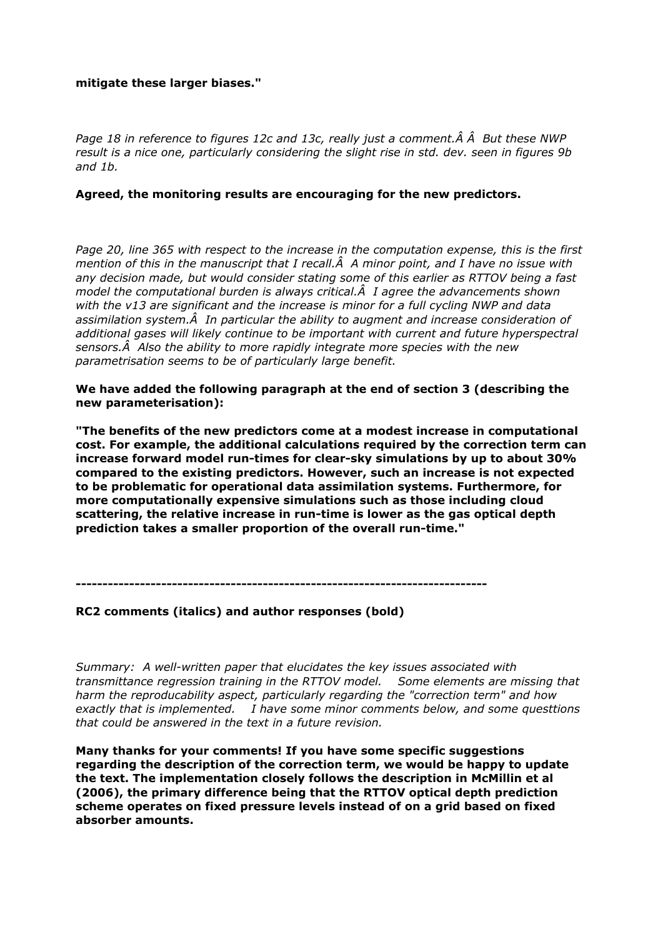# **mitigate these larger biases."**

Page 18 in reference to figures 12c and 13c, really just a comment. A A But these NWP *result is a nice one, particularly considering the slight rise in std. dev. seen in figures 9b and 1b.*

#### **Agreed, the monitoring results are encouraging for the new predictors.**

*Page 20, line 365 with respect to the increase in the computation expense, this is the first mention of this in the manuscript that I recall. A minor point, and I have no issue with any decision made, but would consider stating some of this earlier as RTTOV being a fast model the computational burden is always critical. I agree the advancements shown with the v13 are significant and the increase is minor for a full cycling NWP and data assimilation system. In particular the ability to augment and increase consideration of additional gases will likely continue to be important with current and future hyperspectral sensors. Also the ability to more rapidly integrate more species with the new parametrisation seems to be of particularly large benefit.*

**We have added the following paragraph at the end of section 3 (describing the new parameterisation):**

**"The benefits of the new predictors come at a modest increase in computational cost. For example, the additional calculations required by the correction term can increase forward model run-times for clear-sky simulations by up to about 30% compared to the existing predictors. However, such an increase is not expected to be problematic for operational data assimilation systems. Furthermore, for more computationally expensive simulations such as those including cloud scattering, the relative increase in run-time is lower as the gas optical depth prediction takes a smaller proportion of the overall run-time."**

**-----------------------------------------------------------------------------**

#### **RC2 comments (italics) and author responses (bold)**

*Summary: A well-written paper that elucidates the key issues associated with transmittance regression training in the RTTOV model. Some elements are missing that harm the reproducability aspect, particularly regarding the "correction term" and how exactly that is implemented. I have some minor comments below, and some questtions that could be answered in the text in a future revision.* 

**Many thanks for your comments! If you have some specific suggestions regarding the description of the correction term, we would be happy to update the text. The implementation closely follows the description in McMillin et al (2006), the primary difference being that the RTTOV optical depth prediction scheme operates on fixed pressure levels instead of on a grid based on fixed absorber amounts.**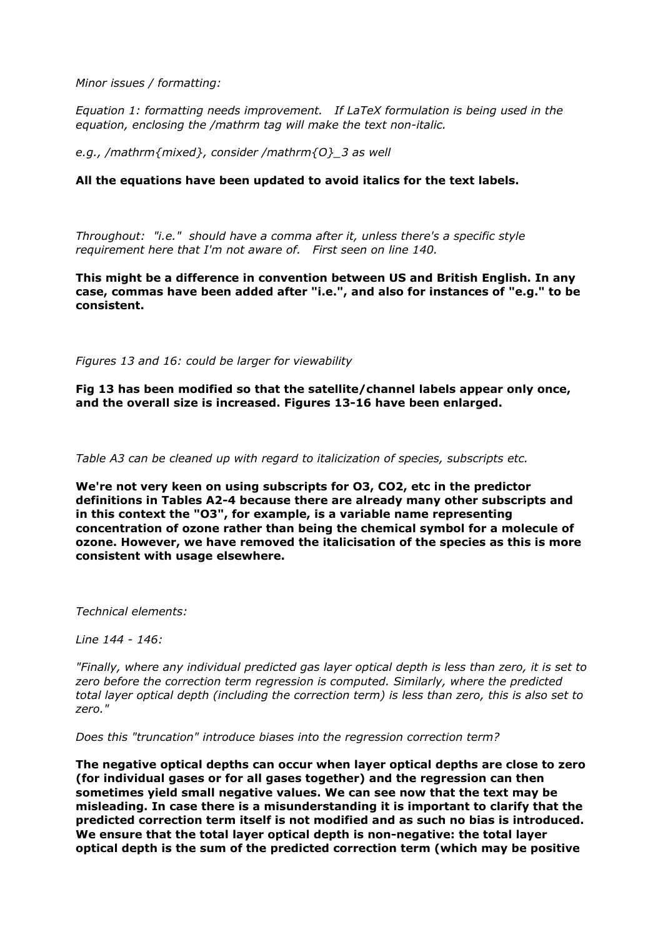*Minor issues / formatting:*

*Equation 1: formatting needs improvement. If LaTeX formulation is being used in the equation, enclosing the /mathrm tag will make the text non-italic.*

*e.g., /mathrm{mixed}, consider /mathrm{O}\_3 as well*

### **All the equations have been updated to avoid italics for the text labels.**

*Throughout: "i.e." should have a comma after it, unless there's a specific style requirement here that I'm not aware of. First seen on line 140.*

**This might be a difference in convention between US and British English. In any case, commas have been added after "i.e.", and also for instances of "e.g." to be consistent.**

*Figures 13 and 16: could be larger for viewability*

**Fig 13 has been modified so that the satellite/channel labels appear only once, and the overall size is increased. Figures 13-16 have been enlarged.** 

*Table A3 can be cleaned up with regard to italicization of species, subscripts etc.*

**We're not very keen on using subscripts for O3, CO2, etc in the predictor definitions in Tables A2-4 because there are already many other subscripts and in this context the "O3", for example, is a variable name representing concentration of ozone rather than being the chemical symbol for a molecule of ozone. However, we have removed the italicisation of the species as this is more consistent with usage elsewhere.**

*Technical elements:*

*Line 144 - 146:*

*"Finally, where any individual predicted gas layer optical depth is less than zero, it is set to zero before the correction term regression is computed. Similarly, where the predicted total layer optical depth (including the correction term) is less than zero, this is also set to zero."* 

*Does this "truncation" introduce biases into the regression correction term?*

**The negative optical depths can occur when layer optical depths are close to zero (for individual gases or for all gases together) and the regression can then sometimes yield small negative values. We can see now that the text may be misleading. In case there is a misunderstanding it is important to clarify that the predicted correction term itself is not modified and as such no bias is introduced. We ensure that the total layer optical depth is non-negative: the total layer optical depth is the sum of the predicted correction term (which may be positive**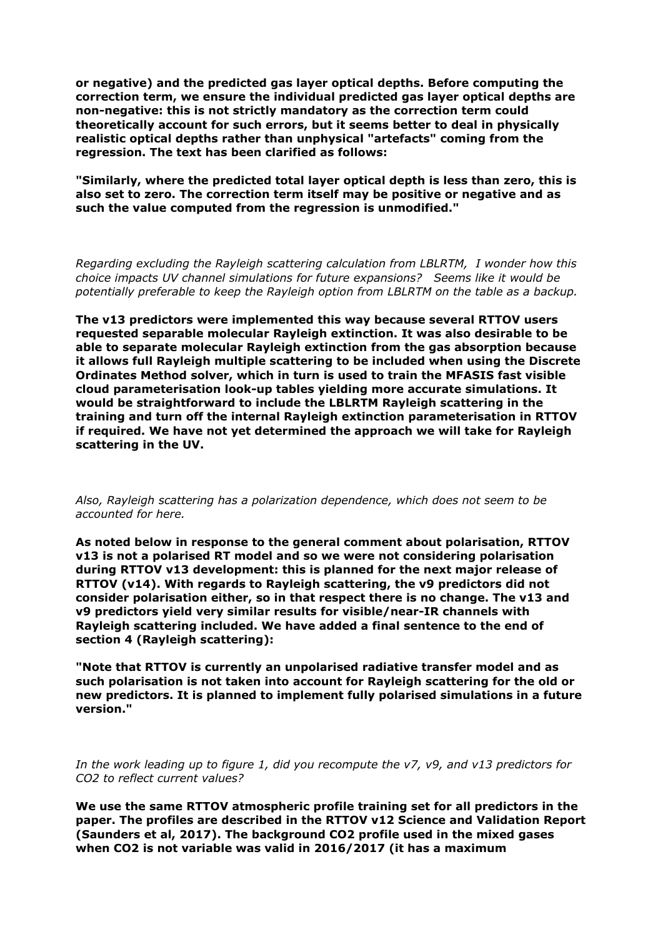**or negative) and the predicted gas layer optical depths. Before computing the correction term, we ensure the individual predicted gas layer optical depths are non-negative: this is not strictly mandatory as the correction term could theoretically account for such errors, but it seems better to deal in physically realistic optical depths rather than unphysical "artefacts" coming from the regression. The text has been clarified as follows:**

**"Similarly, where the predicted total layer optical depth is less than zero, this is also set to zero. The correction term itself may be positive or negative and as such the value computed from the regression is unmodified."**

*Regarding excluding the Rayleigh scattering calculation from LBLRTM, I wonder how this choice impacts UV channel simulations for future expansions? Seems like it would be potentially preferable to keep the Rayleigh option from LBLRTM on the table as a backup.*

**The v13 predictors were implemented this way because several RTTOV users requested separable molecular Rayleigh extinction. It was also desirable to be able to separate molecular Rayleigh extinction from the gas absorption because it allows full Rayleigh multiple scattering to be included when using the Discrete Ordinates Method solver, which in turn is used to train the MFASIS fast visible cloud parameterisation look-up tables yielding more accurate simulations. It would be straightforward to include the LBLRTM Rayleigh scattering in the training and turn off the internal Rayleigh extinction parameterisation in RTTOV if required. We have not yet determined the approach we will take for Rayleigh scattering in the UV.**

*Also, Rayleigh scattering has a polarization dependence, which does not seem to be accounted for here.*

**As noted below in response to the general comment about polarisation, RTTOV v13 is not a polarised RT model and so we were not considering polarisation during RTTOV v13 development: this is planned for the next major release of RTTOV (v14). With regards to Rayleigh scattering, the v9 predictors did not consider polarisation either, so in that respect there is no change. The v13 and v9 predictors yield very similar results for visible/near-IR channels with Rayleigh scattering included. We have added a final sentence to the end of section 4 (Rayleigh scattering):**

**"Note that RTTOV is currently an unpolarised radiative transfer model and as such polarisation is not taken into account for Rayleigh scattering for the old or new predictors. It is planned to implement fully polarised simulations in a future version."**

*In the work leading up to figure 1, did you recompute the v7, v9, and v13 predictors for CO2 to reflect current values?* 

**We use the same RTTOV atmospheric profile training set for all predictors in the paper. The profiles are described in the RTTOV v12 Science and Validation Report (Saunders et al, 2017). The background CO2 profile used in the mixed gases when CO2 is not variable was valid in 2016/2017 (it has a maximum**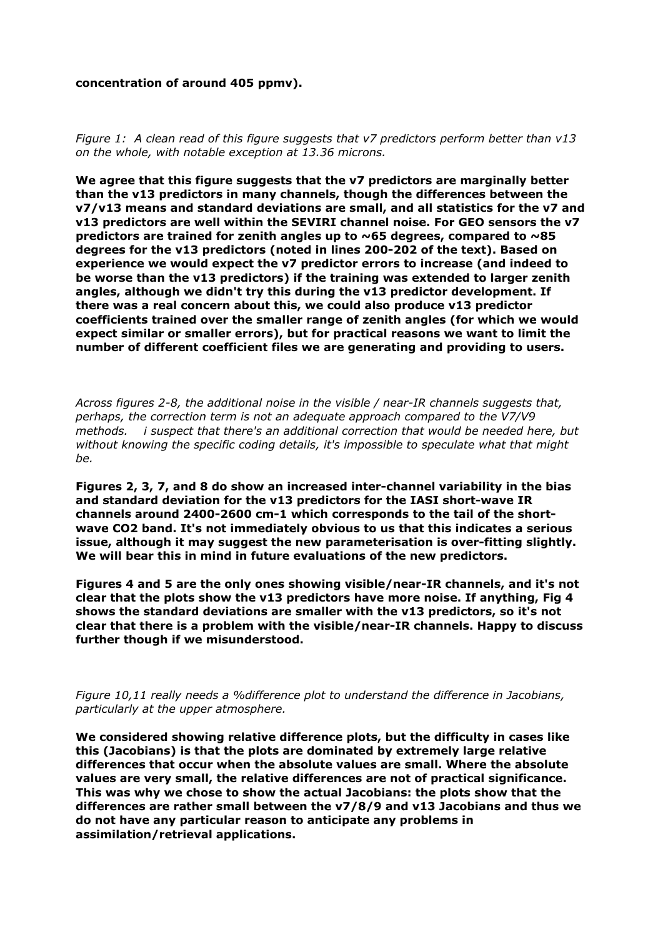#### **concentration of around 405 ppmv).**

*Figure 1: A clean read of this figure suggests that v7 predictors perform better than v13 on the whole, with notable exception at 13.36 microns.*

**We agree that this figure suggests that the v7 predictors are marginally better than the v13 predictors in many channels, though the differences between the v7/v13 means and standard deviations are small, and all statistics for the v7 and v13 predictors are well within the SEVIRI channel noise. For GEO sensors the v7 predictors are trained for zenith angles up to ~65 degrees, compared to ~85 degrees for the v13 predictors (noted in lines 200-202 of the text). Based on experience we would expect the v7 predictor errors to increase (and indeed to be worse than the v13 predictors) if the training was extended to larger zenith angles, although we didn't try this during the v13 predictor development. If there was a real concern about this, we could also produce v13 predictor coefficients trained over the smaller range of zenith angles (for which we would expect similar or smaller errors), but for practical reasons we want to limit the number of different coefficient files we are generating and providing to users.**

*Across figures 2-8, the additional noise in the visible / near-IR channels suggests that, perhaps, the correction term is not an adequate approach compared to the V7/V9 methods. i suspect that there's an additional correction that would be needed here, but without knowing the specific coding details, it's impossible to speculate what that might be.*

**Figures 2, 3, 7, and 8 do show an increased inter-channel variability in the bias and standard deviation for the v13 predictors for the IASI short-wave IR channels around 2400-2600 cm-1 which corresponds to the tail of the shortwave CO2 band. It's not immediately obvious to us that this indicates a serious issue, although it may suggest the new parameterisation is over-fitting slightly. We will bear this in mind in future evaluations of the new predictors.**

**Figures 4 and 5 are the only ones showing visible/near-IR channels, and it's not clear that the plots show the v13 predictors have more noise. If anything, Fig 4 shows the standard deviations are smaller with the v13 predictors, so it's not clear that there is a problem with the visible/near-IR channels. Happy to discuss further though if we misunderstood.**

*Figure 10,11 really needs a %difference plot to understand the difference in Jacobians, particularly at the upper atmosphere.*

**We considered showing relative difference plots, but the difficulty in cases like this (Jacobians) is that the plots are dominated by extremely large relative differences that occur when the absolute values are small. Where the absolute values are very small, the relative differences are not of practical significance. This was why we chose to show the actual Jacobians: the plots show that the differences are rather small between the v7/8/9 and v13 Jacobians and thus we do not have any particular reason to anticipate any problems in assimilation/retrieval applications.**